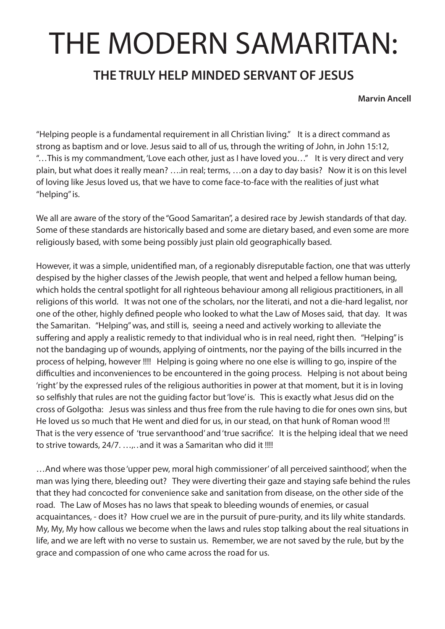## THE MODERN SAMARITAN:

## **THE TRULY HELP MINDED SERVANT OF JESUS**

**Marvin Ancell**

"Helping people is a fundamental requirement in all Christian living." It is a direct command as strong as baptism and or love. Jesus said to all of us, through the writing of John, in John 15:12, "…This is my commandment, 'Love each other, just as I have loved you…" It is very direct and very plain, but what does it really mean? ….in real; terms, …on a day to day basis? Now it is on this level of loving like Jesus loved us, that we have to come face-to-face with the realities of just what "helping" is.

We all are aware of the story of the "Good Samaritan", a desired race by Jewish standards of that day. Some of these standards are historically based and some are dietary based, and even some are more religiously based, with some being possibly just plain old geographically based.

However, it was a simple, unidentified man, of a regionably disreputable faction, one that was utterly despised by the higher classes of the Jewish people, that went and helped a fellow human being, which holds the central spotlight for all righteous behaviour among all religious practitioners, in all religions of this world. It was not one of the scholars, nor the literati, and not a die-hard legalist, nor one of the other, highly defined people who looked to what the Law of Moses said, that day. It was the Samaritan. "Helping" was, and still is, seeing a need and actively working to alleviate the suffering and apply a realistic remedy to that individual who is in real need, right then. "Helping" is not the bandaging up of wounds, applying of ointments, nor the paying of the bills incurred in the process of helping, however !!!! Helping is going where no one else is willing to go, inspire of the difficulties and inconveniences to be encountered in the going process. Helping is not about being 'right' by the expressed rules of the religious authorities in power at that moment, but it is in loving so selfishly that rules are not the quiding factor but 'love' is. This is exactly what Jesus did on the cross of Golgotha: Jesus was sinless and thus free from the rule having to die for ones own sins, but He loved us so much that He went and died for us, in our stead, on that hunk of Roman wood !!! That is the very essence of 'true servanthood' and 'true sacrifice'. It is the helping ideal that we need to strive towards, 24/7. ...,.. and it was a Samaritan who did it !!!!

…And where was those 'upper pew, moral high commissioner' of all perceived sainthood', when the man was lying there, bleeding out? They were diverting their gaze and staying safe behind the rules that they had concocted for convenience sake and sanitation from disease, on the other side of the road. The Law of Moses has no laws that speak to bleeding wounds of enemies, or casual acquaintances, - does it? How cruel we are in the pursuit of pure-purity, and its lily white standards. My, My, My how callous we become when the laws and rules stop talking about the real situations in life, and we are left with no verse to sustain us. Remember, we are not saved by the rule, but by the grace and compassion of one who came across the road for us.